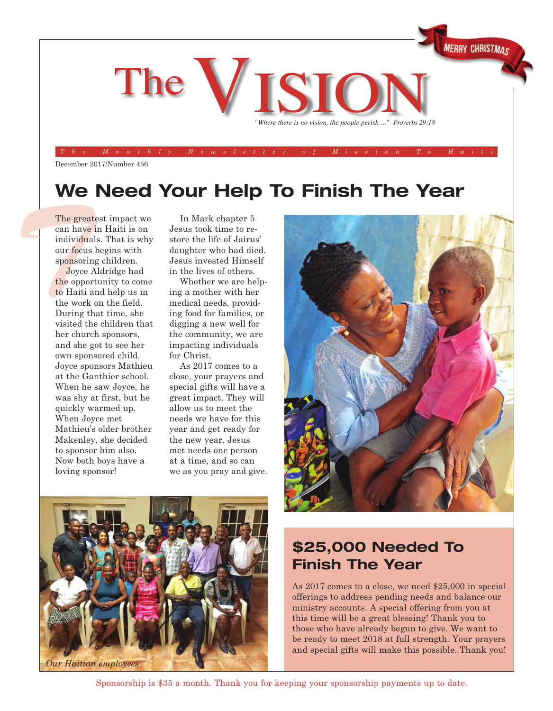

December 2017/Number 456

## **We Need Your Help To Finish The Year**

The greate<br>
can have i<br>
individuals<br>
our focus b<br>
sponsoring<br>
Joyce A<br>
the opport<br>
to Haiti ar The greatest impact we can have in Haiti is on individuals. That is why our focus begins with sponsoring children.

Joyce Aldridge had the opportunity to come to Haiti and help us in the work on the field. During that time, she visited the children that her church sponsors, and she got to see her own sponsored child. Joyce sponsors Mathieu at the Ganthier school. When he saw Joyce, he was shy at first, but he quickly warmed up. When Joyce met Mathieu's older brother Makenley, she decided to sponsor him also. Now both boys have a loving sponsor!

In Mark chapter 5 Jesus took time to restore the life of Jairus' daughter who had died. Jesus invested Himself in the lives of others.

Whether we are helping a mother with her medical needs, providing food for families, or digging a new well for the community, we are impacting individuals for Christ.

As 2017 comes to a close, your prayers and special gifts will have a great impact. They will allow us to meet the needs we have for this year and get ready for the new year. Jesus met needs one person at a time, and so can we as you pray and give.





### **\$25,000 Needed To Finish The Year**

As 2017 comes to a close, we need \$25,000 in special offerings to address pending needs and balance our ministry accounts. A special offering from you at this time will be a great blessing! Thank you to those who have already begun to give. We want to be ready to meet 2018 at full strength. Your prayers and special gifts will make this possible. Thank you!

Sponsorship is \$35 a month. Thank you for keeping your sponsorship payments up to date.